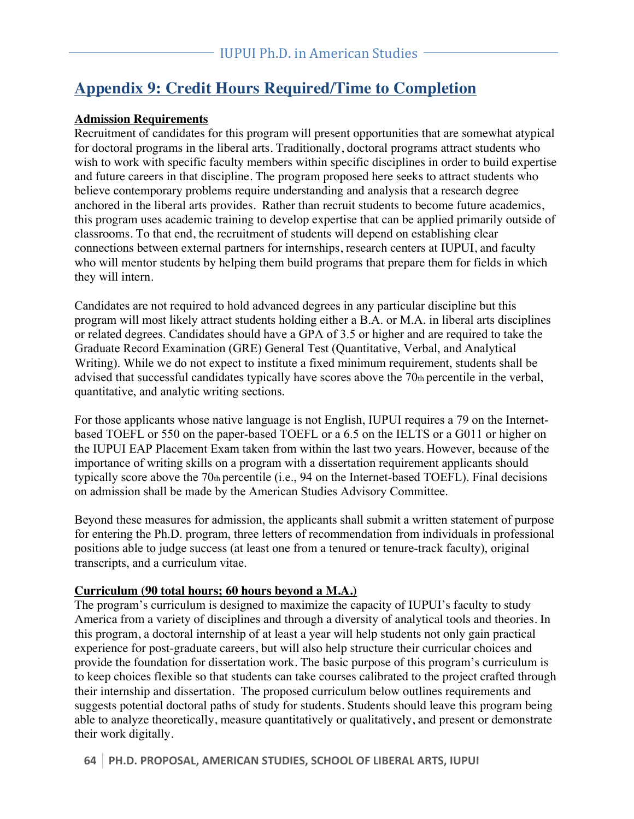## **Appendix 9: Credit Hours Required/Time to Completion**

#### **Admission Requirements**

Recruitment of candidates for this program will present opportunities that are somewhat atypical for doctoral programs in the liberal arts. Traditionally, doctoral programs attract students who wish to work with specific faculty members within specific disciplines in order to build expertise and future careers in that discipline. The program proposed here seeks to attract students who believe contemporary problems require understanding and analysis that a research degree anchored in the liberal arts provides. Rather than recruit students to become future academics, this program uses academic training to develop expertise that can be applied primarily outside of classrooms. To that end, the recruitment of students will depend on establishing clear connections between external partners for internships, research centers at IUPUI, and faculty who will mentor students by helping them build programs that prepare them for fields in which they will intern.

Candidates are not required to hold advanced degrees in any particular discipline but this program will most likely attract students holding either a B.A. or M.A. in liberal arts disciplines or related degrees. Candidates should have a GPA of 3.5 or higher and are required to take the Graduate Record Examination (GRE) General Test (Quantitative, Verbal, and Analytical Writing). While we do not expect to institute a fixed minimum requirement, students shall be advised that successful candidates typically have scores above the 70th percentile in the verbal, quantitative, and analytic writing sections.

For those applicants whose native language is not English, IUPUI requires a 79 on the Internetbased TOEFL or 550 on the paper-based TOEFL or a 6.5 on the IELTS or a G011 or higher on the IUPUI EAP Placement Exam taken from within the last two years. However, because of the importance of writing skills on a program with a dissertation requirement applicants should typically score above the 70th percentile (i.e., 94 on the Internet-based TOEFL). Final decisions on admission shall be made by the American Studies Advisory Committee.

Beyond these measures for admission, the applicants shall submit a written statement of purpose for entering the Ph.D. program, three letters of recommendation from individuals in professional positions able to judge success (at least one from a tenured or tenure-track faculty), original transcripts, and a curriculum vitae.

#### **Curriculum (90 total hours; 60 hours beyond a M.A.)**

The program's curriculum is designed to maximize the capacity of IUPUI's faculty to study America from a variety of disciplines and through a diversity of analytical tools and theories. In this program, a doctoral internship of at least a year will help students not only gain practical experience for post-graduate careers, but will also help structure their curricular choices and provide the foundation for dissertation work. The basic purpose of this program's curriculum is to keep choices flexible so that students can take courses calibrated to the project crafted through their internship and dissertation. The proposed curriculum below outlines requirements and suggests potential doctoral paths of study for students. Students should leave this program being able to analyze theoretically, measure quantitatively or qualitatively, and present or demonstrate their work digitally.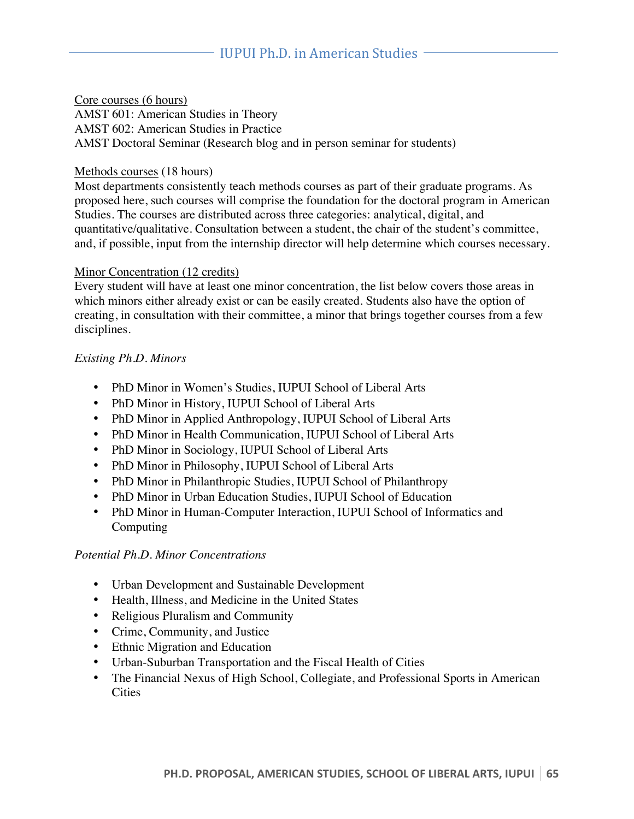Core courses (6 hours) AMST 601: American Studies in Theory AMST 602: American Studies in Practice AMST Doctoral Seminar (Research blog and in person seminar for students)

#### Methods courses (18 hours)

Most departments consistently teach methods courses as part of their graduate programs. As proposed here, such courses will comprise the foundation for the doctoral program in American Studies. The courses are distributed across three categories: analytical, digital, and quantitative/qualitative. Consultation between a student, the chair of the student's committee, and, if possible, input from the internship director will help determine which courses necessary.

#### Minor Concentration (12 credits)

Every student will have at least one minor concentration, the list below covers those areas in which minors either already exist or can be easily created. Students also have the option of creating, in consultation with their committee, a minor that brings together courses from a few disciplines.

#### *Existing Ph.D. Minors*

- PhD Minor in Women's Studies, IUPUI School of Liberal Arts
- PhD Minor in History, IUPUI School of Liberal Arts
- PhD Minor in Applied Anthropology, IUPUI School of Liberal Arts
- PhD Minor in Health Communication, IUPUI School of Liberal Arts
- PhD Minor in Sociology, IUPUI School of Liberal Arts
- PhD Minor in Philosophy, IUPUI School of Liberal Arts
- PhD Minor in Philanthropic Studies, IUPUI School of Philanthropy
- PhD Minor in Urban Education Studies, IUPUI School of Education
- PhD Minor in Human-Computer Interaction, IUPUI School of Informatics and Computing

#### *Potential Ph.D. Minor Concentrations*

- Urban Development and Sustainable Development
- Health, Illness, and Medicine in the United States
- Religious Pluralism and Community
- Crime, Community, and Justice
- Ethnic Migration and Education
- Urban-Suburban Transportation and the Fiscal Health of Cities
- The Financial Nexus of High School, Collegiate, and Professional Sports in American **Cities**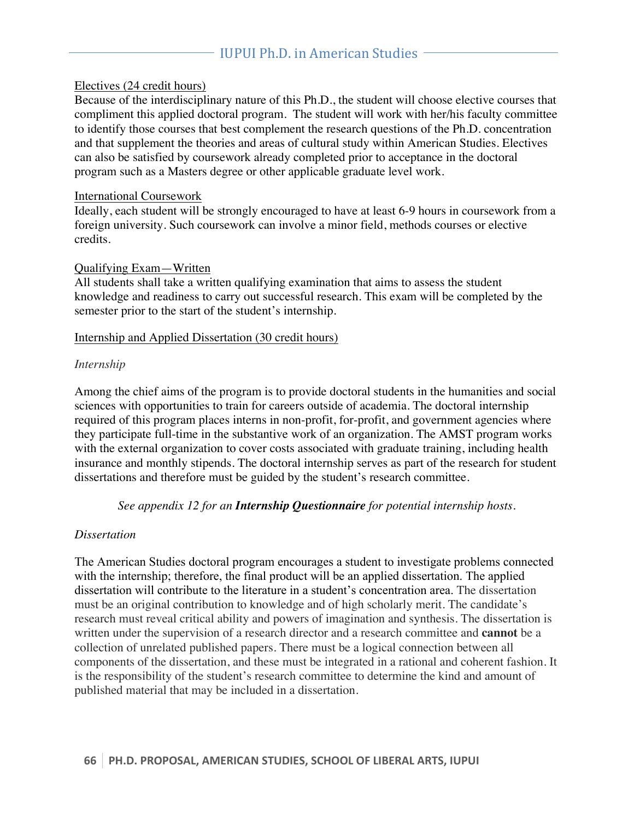#### Electives (24 credit hours)

Because of the interdisciplinary nature of this Ph.D., the student will choose elective courses that compliment this applied doctoral program. The student will work with her/his faculty committee to identify those courses that best complement the research questions of the Ph.D. concentration and that supplement the theories and areas of cultural study within American Studies. Electives can also be satisfied by coursework already completed prior to acceptance in the doctoral program such as a Masters degree or other applicable graduate level work.

#### International Coursework

Ideally, each student will be strongly encouraged to have at least 6-9 hours in coursework from a foreign university. Such coursework can involve a minor field, methods courses or elective credits.

#### Qualifying Exam—Written

All students shall take a written qualifying examination that aims to assess the student knowledge and readiness to carry out successful research. This exam will be completed by the semester prior to the start of the student's internship.

#### Internship and Applied Dissertation (30 credit hours)

#### *Internship*

Among the chief aims of the program is to provide doctoral students in the humanities and social sciences with opportunities to train for careers outside of academia. The doctoral internship required of this program places interns in non-profit, for-profit, and government agencies where they participate full-time in the substantive work of an organization. The AMST program works with the external organization to cover costs associated with graduate training, including health insurance and monthly stipends. The doctoral internship serves as part of the research for student dissertations and therefore must be guided by the student's research committee.

*See appendix 12 for an Internship Questionnaire for potential internship hosts.*

#### *Dissertation*

The American Studies doctoral program encourages a student to investigate problems connected with the internship; therefore, the final product will be an applied dissertation. The applied dissertation will contribute to the literature in a student's concentration area. The dissertation must be an original contribution to knowledge and of high scholarly merit. The candidate's research must reveal critical ability and powers of imagination and synthesis. The dissertation is written under the supervision of a research director and a research committee and **cannot** be a collection of unrelated published papers. There must be a logical connection between all components of the dissertation, and these must be integrated in a rational and coherent fashion. It is the responsibility of the student's research committee to determine the kind and amount of published material that may be included in a dissertation.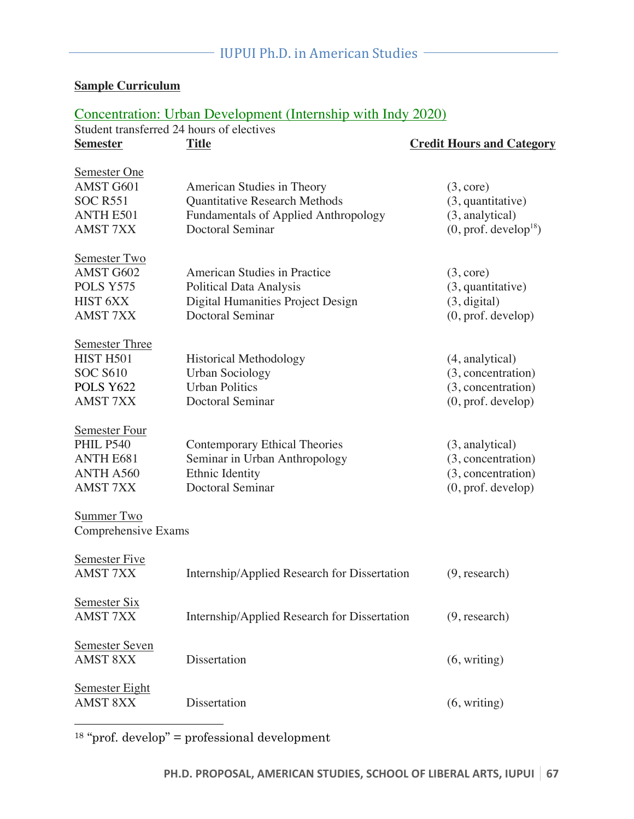## **Sample Curriculum**

## Concentration: Urban Development (Internship with Indy 2020)

| Student transferred 24 hours of electives                                                           |                                                                                                                                              |                                                                                                     |  |  |  |
|-----------------------------------------------------------------------------------------------------|----------------------------------------------------------------------------------------------------------------------------------------------|-----------------------------------------------------------------------------------------------------|--|--|--|
| <b>Semester</b>                                                                                     | <b>Title</b>                                                                                                                                 | <b>Credit Hours and Category</b>                                                                    |  |  |  |
| Semester One<br>AMST G601<br><b>SOC R551</b><br><b>ANTH E501</b><br><b>AMST 7XX</b>                 | American Studies in Theory<br><b>Quantitative Research Methods</b><br><b>Fundamentals of Applied Anthropology</b><br><b>Doctoral Seminar</b> | (3, core)<br>$(3,$ quantitative)<br>(3, analytical)<br>$(0, \text{prof.} \, \text{develop}^{18})$   |  |  |  |
| Semester Two<br>AMST G602<br>POLS Y575<br><b>HIST 6XX</b><br><b>AMST 7XX</b>                        | American Studies in Practice<br><b>Political Data Analysis</b><br>Digital Humanities Project Design<br><b>Doctoral Seminar</b>               | (3, core)<br>$(3,$ quantitative)<br>(3, digital)<br>$(0, \text{prof.} \text{develop})$              |  |  |  |
| <b>Semester Three</b><br>HIST H501<br><b>SOC S610</b><br>POLS Y622<br><b>AMST 7XX</b>               | <b>Historical Methodology</b><br><b>Urban Sociology</b><br><b>Urban Politics</b><br><b>Doctoral Seminar</b>                                  | (4, analytical)<br>(3, concentration)<br>(3, concentration)<br>$(0, \text{prof.} \text{develop})$   |  |  |  |
| <b>Semester Four</b><br><b>PHIL P540</b><br><b>ANTH E681</b><br><b>ANTH A560</b><br><b>AMST 7XX</b> | <b>Contemporary Ethical Theories</b><br>Seminar in Urban Anthropology<br>Ethnic Identity<br><b>Doctoral Seminar</b>                          | $(3,$ analytical)<br>(3, concentration)<br>(3, concentration)<br>$(0, \text{prof.} \text{develop})$ |  |  |  |
| Summer Two<br>Comprehensive Exams                                                                   |                                                                                                                                              |                                                                                                     |  |  |  |
| Semester Five<br><b>AMST 7XX</b>                                                                    | Internship/Applied Research for Dissertation                                                                                                 | (9, research)                                                                                       |  |  |  |
| Semester Six<br><b>AMST 7XX</b>                                                                     | Internship/Applied Research for Dissertation                                                                                                 | (9, research)                                                                                       |  |  |  |
| Semester Seven<br><b>AMST 8XX</b>                                                                   | Dissertation                                                                                                                                 | (6, writing)                                                                                        |  |  |  |
| <b>Semester Eight</b><br><b>AMST 8XX</b>                                                            | Dissertation                                                                                                                                 | (6, writing)                                                                                        |  |  |  |

 $18$  "prof. develop" = professional development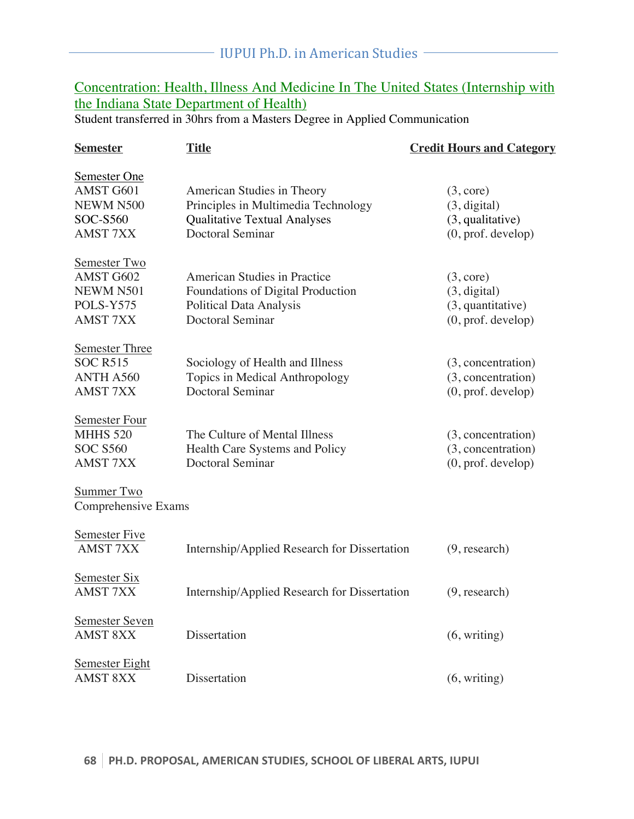## Concentration: Health, Illness And Medicine In The United States (Internship with the Indiana State Department of Health)

Student transferred in 30hrs from a Masters Degree in Applied Communication

| <b>Semester</b>                                                                 | <b>Title</b>                                                                                                                        | <b>Credit Hours and Category</b>                                                       |
|---------------------------------------------------------------------------------|-------------------------------------------------------------------------------------------------------------------------------------|----------------------------------------------------------------------------------------|
| Semester One<br>AMST G601<br>NEWM N500<br><b>SOC-S560</b><br><b>AMST 7XX</b>    | American Studies in Theory<br>Principles in Multimedia Technology<br><b>Qualitative Textual Analyses</b><br><b>Doctoral Seminar</b> | (3, core)<br>(3, digital)<br>$(3,$ qualitative)<br>$(0, \text{prof.} \text{develop})$  |
| Semester Two<br>AMST G602<br>NEWM N501<br>POLS-Y575<br><b>AMST 7XX</b>          | American Studies in Practice<br>Foundations of Digital Production<br><b>Political Data Analysis</b><br><b>Doctoral Seminar</b>      | (3, core)<br>(3, digital)<br>$(3,$ quantitative)<br>$(0, \text{prof.} \text{develop})$ |
| <b>Semester Three</b><br><b>SOC R515</b><br><b>ANTH A560</b><br><b>AMST 7XX</b> | Sociology of Health and Illness<br>Topics in Medical Anthropology<br><b>Doctoral Seminar</b>                                        | (3, concentration)<br>(3, concentration)<br>$(0, \text{prof.} \text{develop})$         |
| Semester Four<br><b>MHHS 520</b><br><b>SOC S560</b><br><b>AMST 7XX</b>          | The Culture of Mental Illness<br>Health Care Systems and Policy<br><b>Doctoral Seminar</b>                                          | (3, concentration)<br>(3, concentration)<br>$(0, \text{prof.} \text{develop})$         |
| Summer Two<br>Comprehensive Exams                                               |                                                                                                                                     |                                                                                        |
| Semester Five<br><b>AMST 7XX</b>                                                | Internship/Applied Research for Dissertation                                                                                        | (9, research)                                                                          |
| Semester Six<br><b>AMST 7XX</b>                                                 | Internship/Applied Research for Dissertation                                                                                        | (9, research)                                                                          |
| <b>Semester Seven</b><br><b>AMST 8XX</b>                                        | Dissertation                                                                                                                        | (6, writing)                                                                           |
| <b>Semester Eight</b><br><b>AMST 8XX</b>                                        | <b>Dissertation</b>                                                                                                                 | (6, writing)                                                                           |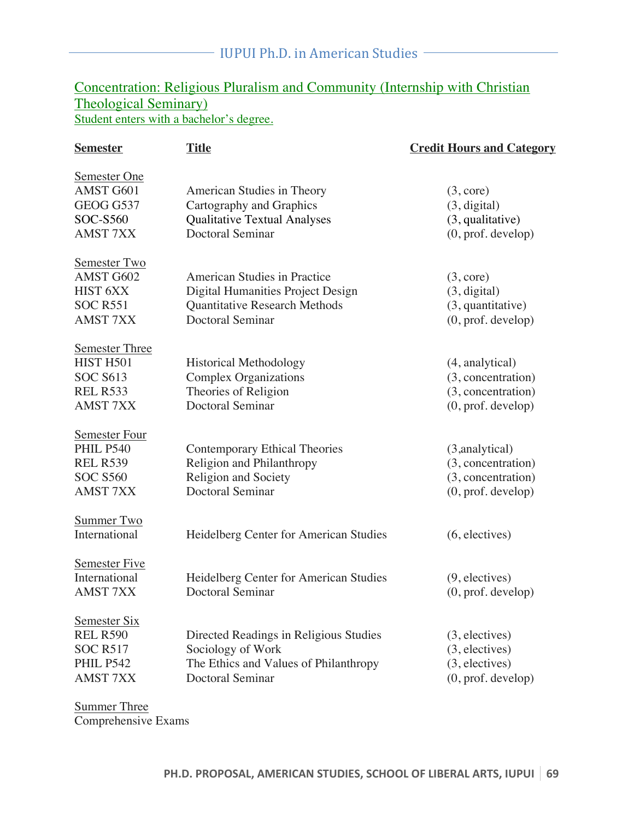## Concentration: Religious Pluralism and Community (Internship with Christian Theological Seminary) Student enters with a bachelor's degree.

| <b>Semester</b>                                                                                   | <b>Title</b>                                                                                                                         | <b>Credit Hours and Category</b>                                                                  |
|---------------------------------------------------------------------------------------------------|--------------------------------------------------------------------------------------------------------------------------------------|---------------------------------------------------------------------------------------------------|
| Semester One<br>AMST G601<br>GEOG G537<br><b>SOC-S560</b><br><b>AMST 7XX</b>                      | American Studies in Theory<br>Cartography and Graphics<br><b>Qualitative Textual Analyses</b><br><b>Doctoral Seminar</b>             | (3, core)<br>(3, digital)<br>$(3,$ qualitative)<br>$(0, \text{prof.} \text{develop})$             |
| Semester Two<br>AMST G602<br><b>HIST 6XX</b><br><b>SOC R551</b><br><b>AMST 7XX</b>                | <b>American Studies in Practice</b><br>Digital Humanities Project Design<br>Quantitative Research Methods<br><b>Doctoral Seminar</b> | (3, core)<br>(3, digital)<br>$(3,$ quantitative)<br>$(0, \text{prof.} \text{develop})$            |
| <b>Semester Three</b><br>HIST H501<br><b>SOC S613</b><br><b>REL R533</b><br><b>AMST 7XX</b>       | <b>Historical Methodology</b><br><b>Complex Organizations</b><br>Theories of Religion<br><b>Doctoral Seminar</b>                     | (4, analytical)<br>(3, concentration)<br>(3, concentration)<br>$(0, \text{prof.} \text{develop})$ |
| <b>Semester Four</b><br><b>PHIL P540</b><br><b>REL R539</b><br><b>SOC S560</b><br><b>AMST 7XX</b> | <b>Contemporary Ethical Theories</b><br>Religion and Philanthropy<br><b>Religion and Society</b><br><b>Doctoral Seminar</b>          | (3,analytical)<br>(3, concentration)<br>(3, concentration)<br>$(0, \text{prof.} \text{develop})$  |
| Summer Two<br>International                                                                       | Heidelberg Center for American Studies                                                                                               | (6, electric)                                                                                     |
| Semester Five<br>International<br><b>AMST 7XX</b>                                                 | Heidelberg Center for American Studies<br><b>Doctoral Seminar</b>                                                                    | $(9,$ electives)<br>$(0, \text{prof.} \text{develop})$                                            |
| Semester Six<br><b>REL R590</b><br><b>SOC R517</b><br><b>PHIL P542</b><br><b>AMST 7XX</b>         | Directed Readings in Religious Studies<br>Sociology of Work<br>The Ethics and Values of Philanthropy<br><b>Doctoral Seminar</b>      | $(3,$ electives)<br>$(3,$ electives)<br>$(3,$ electives)<br>$(0, \text{prof.} \text{develop})$    |

Summer Three Comprehensive Exams